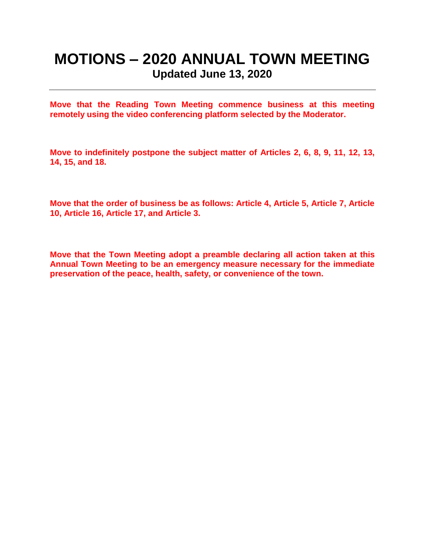# **MOTIONS – 2020 ANNUAL TOWN MEETING Updated June 13, 2020**

**Move that the Reading Town Meeting commence business at this meeting remotely using the video conferencing platform selected by the Moderator.**

**Move to indefinitely postpone the subject matter of Articles 2, 6, 8, 9, 11, 12, 13, 14, 15, and 18.**

**Move that the order of business be as follows: Article 4, Article 5, Article 7, Article 10, Article 16, Article 17, and Article 3.**

**Move that the Town Meeting adopt a preamble declaring all action taken at this Annual Town Meeting to be an emergency measure necessary for the immediate preservation of the peace, health, safety, or convenience of the town.**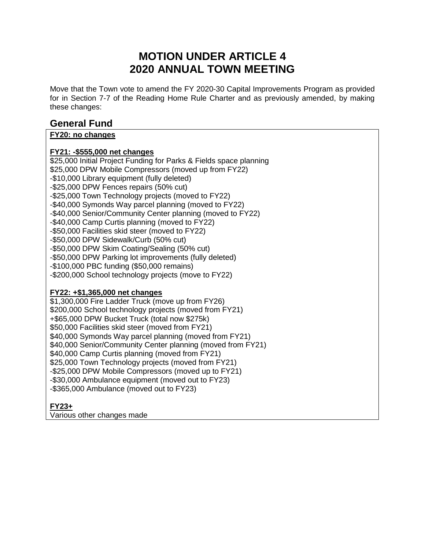## **MOTION UNDER ARTICLE 4 2020 ANNUAL TOWN MEETING**

Move that the Town vote to amend the FY 2020-30 Capital Improvements Program as provided for in Section 7-7 of the Reading Home Rule Charter and as previously amended, by making these changes:

### **General Fund**

### **FY20: no changes**

### **FY21: -\$555,000 net changes**

\$25,000 Initial Project Funding for Parks & Fields space planning \$25,000 DPW Mobile Compressors (moved up from FY22) -\$10,000 Library equipment (fully deleted) -\$25,000 DPW Fences repairs (50% cut) -\$25,000 Town Technology projects (moved to FY22) -\$40,000 Symonds Way parcel planning (moved to FY22) -\$40,000 Senior/Community Center planning (moved to FY22) -\$40,000 Camp Curtis planning (moved to FY22) -\$50,000 Facilities skid steer (moved to FY22) -\$50,000 DPW Sidewalk/Curb (50% cut) -\$50,000 DPW Skim Coating/Sealing (50% cut) -\$50,000 DPW Parking lot improvements (fully deleted) -\$100,000 PBC funding (\$50,000 remains) -\$200,000 School technology projects (move to FY22)

#### **FY22: +\$1,365,000 net changes**

\$1,300,000 Fire Ladder Truck (move up from FY26) \$200,000 School technology projects (moved from FY21) +\$65,000 DPW Bucket Truck (total now \$275k) \$50,000 Facilities skid steer (moved from FY21) \$40,000 Symonds Way parcel planning (moved from FY21) \$40,000 Senior/Community Center planning (moved from FY21) \$40,000 Camp Curtis planning (moved from FY21) \$25,000 Town Technology projects (moved from FY21) -\$25,000 DPW Mobile Compressors (moved up to FY21) -\$30,000 Ambulance equipment (moved out to FY23) -\$365,000 Ambulance (moved out to FY23)

### **FY23+**

Various other changes made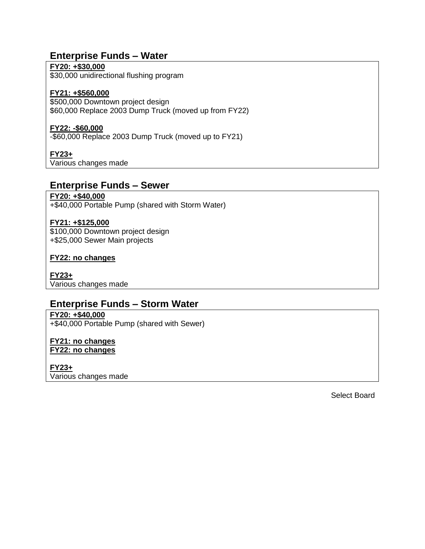### **Enterprise Funds – Water**

#### **FY20: +\$30,000**

\$30,000 unidirectional flushing program

#### **FY21: +\$560,000**

\$500,000 Downtown project design \$60,000 Replace 2003 Dump Truck (moved up from FY22)

#### **FY22: -\$60,000**

-\$60,000 Replace 2003 Dump Truck (moved up to FY21)

#### **FY23+**

Various changes made

#### **Enterprise Funds – Sewer**

#### **FY20: +\$40,000**

+\$40,000 Portable Pump (shared with Storm Water)

#### **FY21: +\$125,000**

\$100,000 Downtown project design +\$25,000 Sewer Main projects

#### **FY22: no changes**

**FY23+** Various changes made

### **Enterprise Funds – Storm Water**

### **FY20: +\$40,000**

+\$40,000 Portable Pump (shared with Sewer)

#### **FY21: no changes FY22: no changes**

**FY23+** Various changes made

Select Board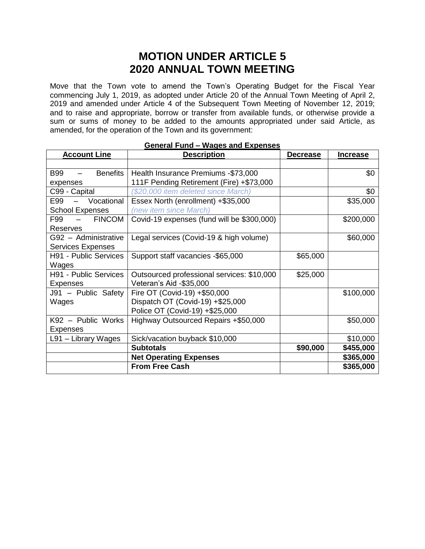## **MOTION UNDER ARTICLE 5 2020 ANNUAL TOWN MEETING**

Move that the Town vote to amend the Town's Operating Budget for the Fiscal Year commencing July 1, 2019, as adopted under Article 20 of the Annual Town Meeting of April 2, 2019 and amended under Article 4 of the Subsequent Town Meeting of November 12, 2019; and to raise and appropriate, borrow or transfer from available funds, or otherwise provide a sum or sums of money to be added to the amounts appropriated under said Article, as amended, for the operation of the Town and its government:

| <b>General Fund - Wages and Expenses</b>                         |                                            |                 |                 |  |
|------------------------------------------------------------------|--------------------------------------------|-----------------|-----------------|--|
| <b>Account Line</b>                                              | <b>Description</b>                         | <b>Decrease</b> | <b>Increase</b> |  |
|                                                                  |                                            |                 |                 |  |
| <b>Benefits</b><br><b>B99</b><br>$\frac{1}{2}$ and $\frac{1}{2}$ | Health Insurance Premiums -\$73,000        |                 | \$0             |  |
| expenses                                                         | 111F Pending Retirement (Fire) +\$73,000   |                 |                 |  |
| C99 - Capital                                                    | (\$20,000 item deleted since March)        |                 | \$0             |  |
| E99 - Vocational                                                 | Essex North (enrollment) +\$35,000         |                 | \$35,000        |  |
| <b>School Expenses</b>                                           | (new item since March)                     |                 |                 |  |
| <b>FINCOM</b><br>F99<br>$\sim$ $ \sim$                           | Covid-19 expenses (fund will be \$300,000) |                 | \$200,000       |  |
| Reserves                                                         |                                            |                 |                 |  |
| G92 - Administrative                                             | Legal services (Covid-19 & high volume)    |                 | \$60,000        |  |
| <b>Services Expenses</b>                                         |                                            |                 |                 |  |
| H91 - Public Services                                            | Support staff vacancies -\$65,000          | \$65,000        |                 |  |
| Wages                                                            |                                            |                 |                 |  |
| H91 - Public Services                                            | Outsourced professional services: \$10,000 | \$25,000        |                 |  |
| <b>Expenses</b>                                                  | Veteran's Aid -\$35,000                    |                 |                 |  |
| J91 - Public Safety                                              | Fire OT (Covid-19) +\$50,000               |                 | \$100,000       |  |
| Wages                                                            | Dispatch OT (Covid-19) +\$25,000           |                 |                 |  |
|                                                                  | Police OT (Covid-19) +\$25,000             |                 |                 |  |
| K92 - Public Works                                               | Highway Outsourced Repairs +\$50,000       |                 | \$50,000        |  |
| <b>Expenses</b>                                                  |                                            |                 |                 |  |
| L91 - Library Wages                                              | Sick/vacation buyback \$10,000             |                 | \$10,000        |  |
|                                                                  | <b>Subtotals</b>                           | \$90,000        | \$455,000       |  |
|                                                                  | <b>Net Operating Expenses</b>              |                 | \$365,000       |  |
|                                                                  | <b>From Free Cash</b>                      |                 | \$365,000       |  |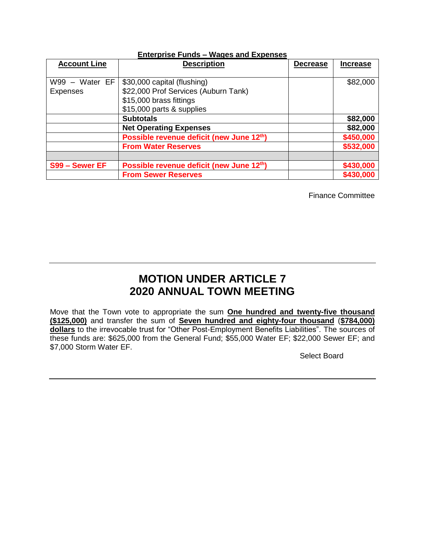| <b>Account Line</b> | <b>Description</b>                       | <b>Decrease</b> | <b>Increase</b> |
|---------------------|------------------------------------------|-----------------|-----------------|
|                     |                                          |                 |                 |
| W99 - Water EF      | \$30,000 capital (flushing)              |                 | \$82,000        |
| <b>Expenses</b>     | \$22,000 Prof Services (Auburn Tank)     |                 |                 |
|                     | \$15,000 brass fittings                  |                 |                 |
|                     | \$15,000 parts & supplies                |                 |                 |
|                     | <b>Subtotals</b>                         |                 | \$82,000        |
|                     | <b>Net Operating Expenses</b>            |                 | \$82,000        |
|                     | Possible revenue deficit (new June 12th) |                 | \$450,000       |
|                     | <b>From Water Reserves</b>               |                 | \$532,000       |
|                     |                                          |                 |                 |
| S99 - Sewer EF      | Possible revenue deficit (new June 12th) |                 | \$430,000       |
|                     | <b>From Sewer Reserves</b>               |                 | \$430,000       |

#### **Enterprise Funds – Wages and Expenses**

Finance Committee

## **MOTION UNDER ARTICLE 7 2020 ANNUAL TOWN MEETING**

Move that the Town vote to appropriate the sum **One hundred and twenty-five thousand (\$125,000)** and transfer the sum of **Seven hundred and eighty-four thousand** (**\$784,000) dollars** to the irrevocable trust for "Other Post-Employment Benefits Liabilities". The sources of these funds are: \$625,000 from the General Fund; \$55,000 Water EF; \$22,000 Sewer EF; and \$7,000 Storm Water EF.

Select Board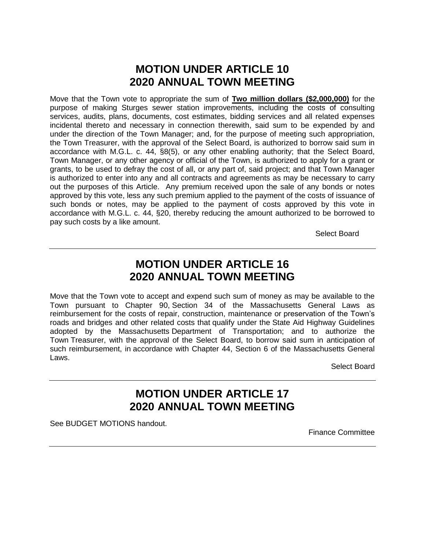## **MOTION UNDER ARTICLE 10 2020 ANNUAL TOWN MEETING**

Move that the Town vote to appropriate the sum of **Two million dollars (\$2,000,000)** for the purpose of making Sturges sewer station improvements, including the costs of consulting services, audits, plans, documents, cost estimates, bidding services and all related expenses incidental thereto and necessary in connection therewith, said sum to be expended by and under the direction of the Town Manager; and, for the purpose of meeting such appropriation, the Town Treasurer, with the approval of the Select Board, is authorized to borrow said sum in accordance with M.G.L. c. 44, §8(5), or any other enabling authority; that the Select Board, Town Manager, or any other agency or official of the Town, is authorized to apply for a grant or grants, to be used to defray the cost of all, or any part of, said project; and that Town Manager is authorized to enter into any and all contracts and agreements as may be necessary to carry out the purposes of this Article. Any premium received upon the sale of any bonds or notes approved by this vote, less any such premium applied to the payment of the costs of issuance of such bonds or notes, may be applied to the payment of costs approved by this vote in accordance with M.G.L. c. 44, §20, thereby reducing the amount authorized to be borrowed to pay such costs by a like amount.

Select Board

## **MOTION UNDER ARTICLE 16 2020 ANNUAL TOWN MEETING**

Move that the Town vote to accept and expend such sum of money as may be available to the Town pursuant to Chapter 90, Section 34 of the Massachusetts General Laws as reimbursement for the costs of repair, construction, maintenance or preservation of the Town's roads and bridges and other related costs that qualify under the State Aid Highway Guidelines adopted by the Massachusetts Department of Transportation; and to authorize the Town Treasurer, with the approval of the Select Board, to borrow said sum in anticipation of such reimbursement, in accordance with Chapter 44, Section 6 of the Massachusetts General Laws.

Select Board

## **MOTION UNDER ARTICLE 17 2020 ANNUAL TOWN MEETING**

See BUDGET MOTIONS handout.

Finance Committee